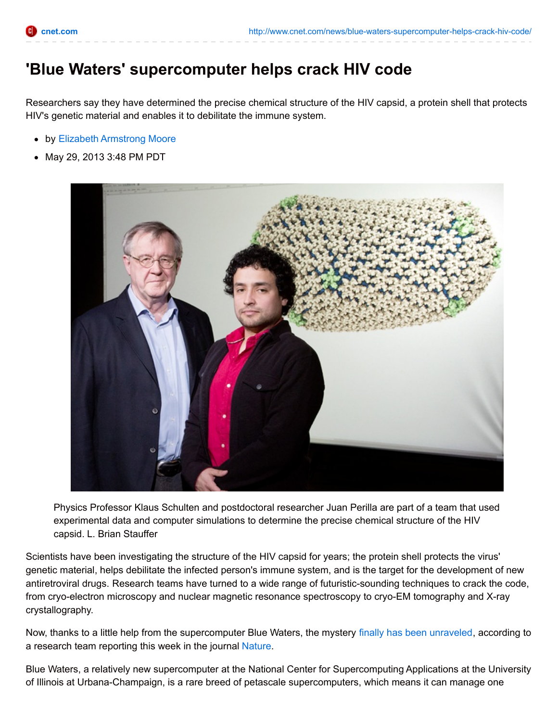## **'Blue Waters' supercomputer helps crack HIV code**

Researchers say they have determined the precise chemical structure of the HIV capsid, a protein shell that protects HIV's genetic material and enables it to debilitate the immune system.

- by Elizabeth [Armstrong](http://www.cnet.com/profiles/ejamoore/) Moore
- May 29, 2013 3:48 PM PDT



Physics Professor Klaus Schulten and postdoctoral researcher Juan Perilla are part of a team that used experimental data and computer simulations to determine the precise chemical structure of the HIV capsid. L. Brian Stauffer

Scientists have been investigating the structure of the HIV capsid for years; the protein shell protects the virus' genetic material, helps debilitate the infected person's immune system, and is the target for the development of new antiretroviral drugs. Research teams have turned to a wide range of futuristic-sounding techniques to crack the code, from cryo-electron microscopy and nuclear magnetic resonance spectroscopy to cryo-EM tomography and X-ray crystallography.

Now, thanks to a little help from the supercomputer Blue Waters, the mystery finally has been [unraveled](http://news.illinois.edu/news/13/0529HIVcapsid_KlausSchulten.html), according to a research team reporting this week in the journal [Nature](http://www.nature.com/nature/journal/v497/n7451/full/nature12162.html).

Blue Waters, a relatively new supercomputer at the National Center for Supercomputing Applications at the University of Illinois at Urbana-Champaign, is a rare breed of petascale supercomputers, which means it can manage one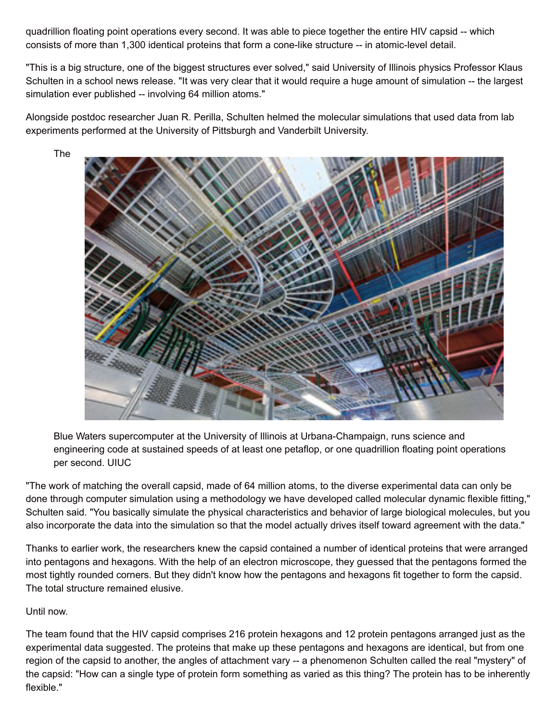quadrillion floating point operations every second. It was able to piece together the entire HIV capsid -- which consists of more than 1,300 identical proteins that form a cone-like structure -- in atomic-level detail.

"This is a big structure, one of the biggest structures ever solved," said University of Illinois physics Professor Klaus Schulten in a school news release. "It was very clear that it would require a huge amount of simulation -- the largest simulation ever published -- involving 64 million atoms."

Alongside postdoc researcher Juan R. Perilla, Schulten helmed the molecular simulations that used data from lab experiments performed at the University of Pittsburgh and Vanderbilt University.



Blue Waters supercomputer at the University of Illinois at Urbana-Champaign, runs science and engineering code at sustained speeds of at least one petaflop, or one quadrillion floating point operations per second. UIUC

"The work of matching the overall capsid, made of 64 million atoms, to the diverse experimental data can only be done through computer simulation using a methodology we have developed called molecular dynamic flexible fitting," Schulten said. "You basically simulate the physical characteristics and behavior of large biological molecules, but you also incorporate the data into the simulation so that the model actually drives itself toward agreement with the data."

Thanks to earlier work, the researchers knew the capsid contained a number of identical proteins that were arranged into pentagons and hexagons. With the help of an electron microscope, they guessed that the pentagons formed the most tightly rounded corners. But they didn't know how the pentagons and hexagons fit together to form the capsid. The total structure remained elusive.

## Until now.

The team found that the HIV capsid comprises 216 protein hexagons and 12 protein pentagons arranged just as the experimental data suggested. The proteins that make up these pentagons and hexagons are identical, but from one region of the capsid to another, the angles of attachment vary -- a phenomenon Schulten called the real "mystery" of the capsid: "How can a single type of protein form something as varied as this thing? The protein has to be inherently flexible."